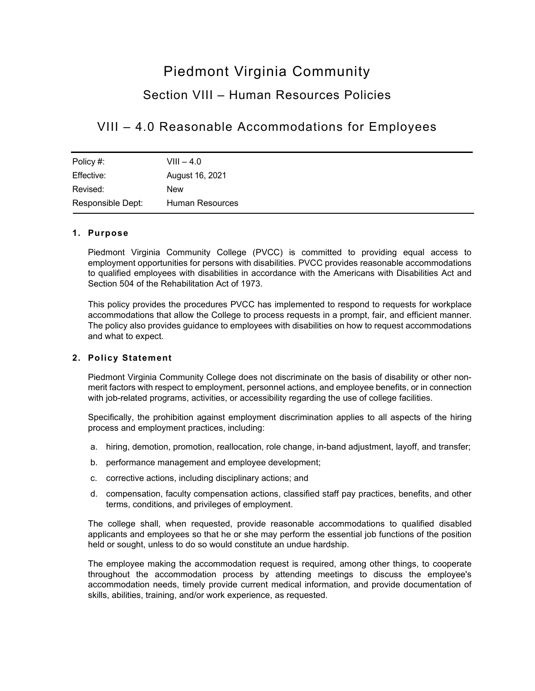# Piedmont Virginia Community

## Section VIII – Human Resources Policies

### VIII – 4.0 Reasonable Accommodations for Employees

| Policy #:         | $VIII - 4.0$    |
|-------------------|-----------------|
| Effective:        | August 16, 2021 |
| Revised:          | <b>New</b>      |
| Responsible Dept: | Human Resources |

### **1. Purpose**

Piedmont Virginia Community College (PVCC) is committed to providing equal access to employment opportunities for persons with disabilities. PVCC provides reasonable accommodations to qualified employees with disabilities in accordance with the Americans with Disabilities Act and Section 504 of the Rehabilitation Act of 1973.

This policy provides the procedures PVCC has implemented to respond to requests for workplace accommodations that allow the College to process requests in a prompt, fair, and efficient manner. The policy also provides guidance to employees with disabilities on how to request accommodations and what to expect.

### **2. Policy Statement**

Piedmont Virginia Community College does not discriminate on the basis of disability or other nonmerit factors with respect to employment, personnel actions, and employee benefits, or in connection with job-related programs, activities, or accessibility regarding the use of college facilities.

Specifically, the prohibition against employment discrimination applies to all aspects of the hiring process and employment practices, including:

- a. hiring, demotion, promotion, reallocation, role change, in-band adjustment, layoff, and transfer;
- b. performance management and employee development;
- c. corrective actions, including disciplinary actions; and
- d. compensation, faculty compensation actions, classified staff pay practices, benefits, and other terms, conditions, and privileges of employment.

The college shall, when requested, provide reasonable accommodations to qualified disabled applicants and employees so that he or she may perform the essential job functions of the position held or sought, unless to do so would constitute an undue hardship.

The employee making the accommodation request is required, among other things, to cooperate throughout the accommodation process by attending meetings to discuss the employee's accommodation needs, timely provide current medical information, and provide documentation of skills, abilities, training, and/or work experience, as requested.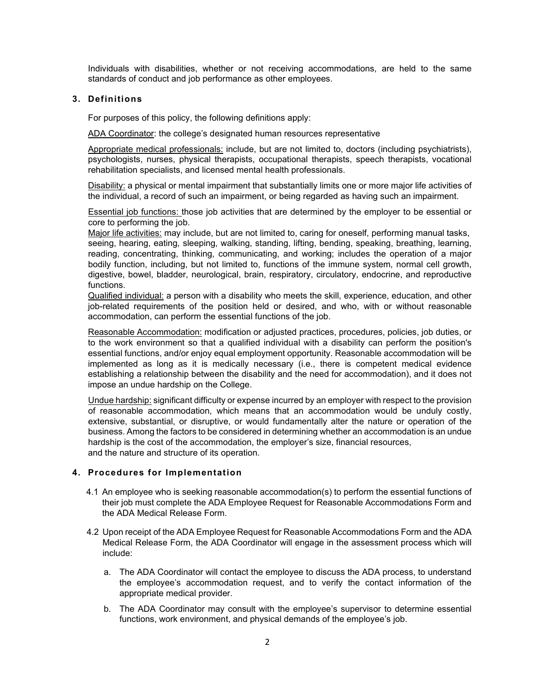Individuals with disabilities, whether or not receiving accommodations, are held to the same standards of conduct and job performance as other employees.

#### **3. Definitions**

For purposes of this policy, the following definitions apply:

ADA Coordinator: the college's designated human resources representative

Appropriate medical professionals: include, but are not limited to, doctors (including psychiatrists), psychologists, nurses, physical therapists, occupational therapists, speech therapists, vocational rehabilitation specialists, and licensed mental health professionals.

Disability: a physical or mental impairment that substantially limits one or more major life activities of the individual, a record of such an impairment, or being regarded as having such an impairment.

Essential job functions: those job activities that are determined by the employer to be essential or core to performing the job.

Major life activities: may include, but are not limited to, caring for oneself, performing manual tasks, seeing, hearing, eating, sleeping, walking, standing, lifting, bending, speaking, breathing, learning, reading, concentrating, thinking, communicating, and working; includes the operation of a major bodily function, including, but not limited to, functions of the immune system, normal cell growth, digestive, bowel, bladder, neurological, brain, respiratory, circulatory, endocrine, and reproductive functions.

Qualified individual: a person with a disability who meets the skill, experience, education, and other job-related requirements of the position held or desired, and who, with or without reasonable accommodation, can perform the essential functions of the job.

Reasonable Accommodation: modification or adjusted practices, procedures, policies, job duties, or to the work environment so that a qualified individual with a disability can perform the position's essential functions, and/or enjoy equal employment opportunity. Reasonable accommodation will be implemented as long as it is medically necessary (i.e., there is competent medical evidence establishing a relationship between the disability and the need for accommodation), and it does not impose an undue hardship on the College.

Undue hardship: significant difficulty or expense incurred by an employer with respect to the provision of reasonable accommodation, which means that an accommodation would be unduly costly, extensive, substantial, or disruptive, or would fundamentally alter the nature or operation of the business. Among the factors to be considered in determining whether an accommodation is an undue hardship is the cost of the accommodation, the employer's size, financial resources, and the nature and structure of its operation.

#### **4. Procedures for Implementation**

- 4.1 An employee who is seeking reasonable accommodation(s) to perform the essential functions of their job must complete the ADA Employee Request for Reasonable Accommodations Form and the ADA Medical Release Form.
- 4.2 Upon receipt of the ADA Employee Request for Reasonable Accommodations Form and the ADA Medical Release Form, the ADA Coordinator will engage in the assessment process which will include:
	- a. The ADA Coordinator will contact the employee to discuss the ADA process, to understand the employee's accommodation request, and to verify the contact information of the appropriate medical provider.
	- b. The ADA Coordinator may consult with the employee's supervisor to determine essential functions, work environment, and physical demands of the employee's job.